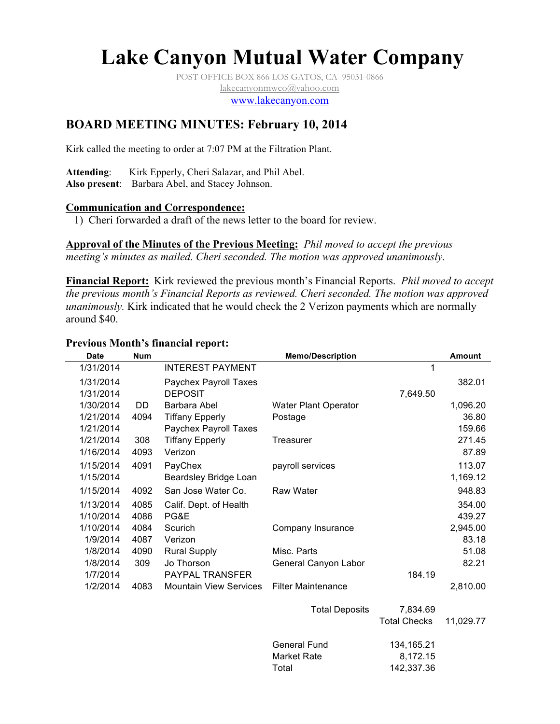# **Lake Canyon Mutual Water Company**

POST OFFICE BOX 866 LOS GATOS, CA 95031-0866 lakecanyonmwco@yahoo.com

www.lakecanyon.com

# **BOARD MEETING MINUTES: February 10, 2014**

Kirk called the meeting to order at 7:07 PM at the Filtration Plant.

**Attending**: Kirk Epperly, Cheri Salazar, and Phil Abel. **Also present**: Barbara Abel, and Stacey Johnson.

#### **Communication and Correspondence:**

1) Cheri forwarded a draft of the news letter to the board for review.

**Approval of the Minutes of the Previous Meeting:** *Phil moved to accept the previous meeting's minutes as mailed. Cheri seconded. The motion was approved unanimously.*

**Financial Report:** Kirk reviewed the previous month's Financial Reports. *Phil moved to accept the previous month's Financial Reports as reviewed. Cheri seconded. The motion was approved unanimously.* Kirk indicated that he would check the 2 Verizon payments which are normally around \$40.

#### **Previous Month's financial report:**

| <b>Date</b> | <b>Num</b> |                               | <b>Memo/Description</b>     |                     | <b>Amount</b> |
|-------------|------------|-------------------------------|-----------------------------|---------------------|---------------|
| 1/31/2014   |            | <b>INTEREST PAYMENT</b>       |                             |                     |               |
| 1/31/2014   |            | <b>Paychex Payroll Taxes</b>  |                             |                     | 382.01        |
| 1/31/2014   |            | <b>DEPOSIT</b>                |                             | 7,649.50            |               |
| 1/30/2014   | DD         | Barbara Abel                  | <b>Water Plant Operator</b> |                     | 1,096.20      |
| 1/21/2014   | 4094       | <b>Tiffany Epperly</b>        | Postage                     |                     | 36.80         |
| 1/21/2014   |            | Paychex Payroll Taxes         |                             |                     | 159.66        |
| 1/21/2014   | 308        | <b>Tiffany Epperly</b>        | <b>Treasurer</b>            |                     | 271.45        |
| 1/16/2014   | 4093       | Verizon                       |                             |                     | 87.89         |
| 1/15/2014   | 4091       | PayChex                       | payroll services            |                     | 113.07        |
| 1/15/2014   |            | Beardsley Bridge Loan         |                             |                     | 1,169.12      |
| 1/15/2014   | 4092       | San Jose Water Co.            | <b>Raw Water</b>            |                     | 948.83        |
| 1/13/2014   | 4085       | Calif. Dept. of Health        |                             |                     | 354.00        |
| 1/10/2014   | 4086       | PG&E                          |                             |                     | 439.27        |
| 1/10/2014   | 4084       | Scurich                       | Company Insurance           |                     | 2,945.00      |
| 1/9/2014    | 4087       | Verizon                       |                             |                     | 83.18         |
| 1/8/2014    | 4090       | <b>Rural Supply</b>           | Misc. Parts                 |                     | 51.08         |
| 1/8/2014    | 309        | Jo Thorson                    | General Canyon Labor        |                     | 82.21         |
| 1/7/2014    |            | <b>PAYPAL TRANSFER</b>        |                             | 184.19              |               |
| 1/2/2014    | 4083       | <b>Mountain View Services</b> | <b>Filter Maintenance</b>   |                     | 2,810.00      |
|             |            |                               | <b>Total Deposits</b>       | 7,834.69            |               |
|             |            |                               |                             | <b>Total Checks</b> | 11,029.77     |
|             |            |                               | <b>General Fund</b>         | 134,165.21          |               |
|             |            |                               | <b>Market Rate</b>          | 8,172.15            |               |
|             |            |                               | Total                       | 142,337.36          |               |
|             |            |                               |                             |                     |               |